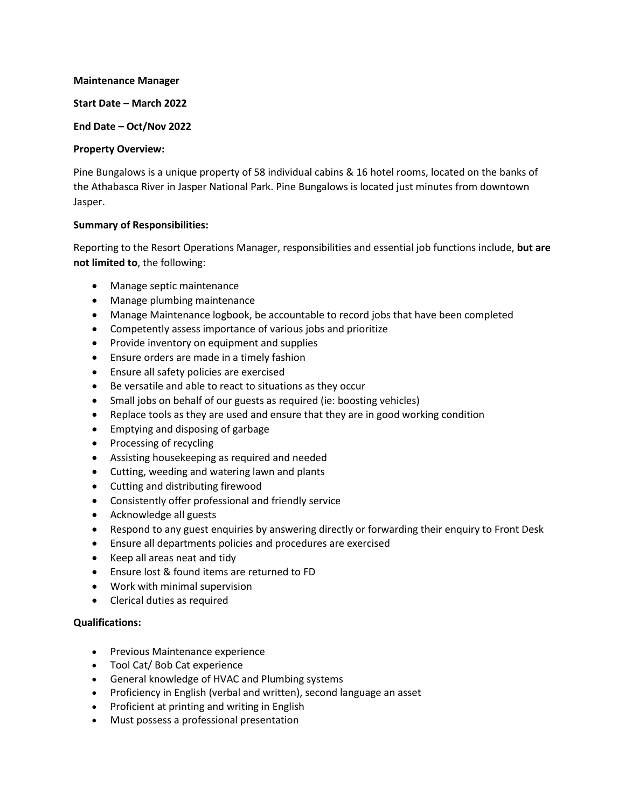#### **Maintenance Manager**

### **Start Date – March 2022**

### **End Date – Oct/Nov 2022**

### **Property Overview:**

Pine Bungalows is a unique property of 58 individual cabins & 16 hotel rooms, located on the banks of the Athabasca River in Jasper National Park. Pine Bungalows is located just minutes from downtown Jasper.

# **Summary of Responsibilities:**

Reporting to the Resort Operations Manager, responsibilities and essential job functions include, **but are not limited to**, the following:

- Manage septic maintenance
- Manage plumbing maintenance
- Manage Maintenance logbook, be accountable to record jobs that have been completed
- Competently assess importance of various jobs and prioritize
- Provide inventory on equipment and supplies
- Ensure orders are made in a timely fashion
- Ensure all safety policies are exercised
- Be versatile and able to react to situations as they occur
- Small jobs on behalf of our guests as required (ie: boosting vehicles)
- Replace tools as they are used and ensure that they are in good working condition
- Emptying and disposing of garbage
- Processing of recycling
- Assisting housekeeping as required and needed
- Cutting, weeding and watering lawn and plants
- Cutting and distributing firewood
- Consistently offer professional and friendly service
- Acknowledge all guests
- Respond to any guest enquiries by answering directly or forwarding their enquiry to Front Desk
- Ensure all departments policies and procedures are exercised
- Keep all areas neat and tidy
- Ensure lost & found items are returned to FD
- Work with minimal supervision
- Clerical duties as required

# **Qualifications:**

- Previous Maintenance experience
- Tool Cat/ Bob Cat experience
- General knowledge of HVAC and Plumbing systems
- Proficiency in English (verbal and written), second language an asset
- Proficient at printing and writing in English
- Must possess a professional presentation